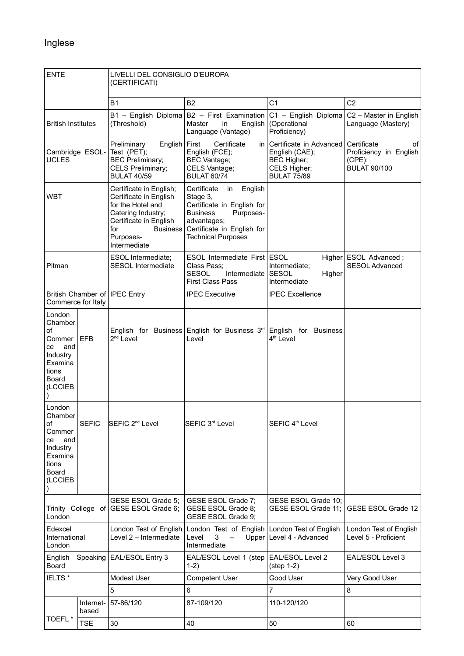| <b>ENTE</b>                                                                                        |                    | LIVELLI DEL CONSIGLIO D'EUROPA<br>(CERTIFICATI)                                                                                                                               |                                                                                                                                                                                  |                                                                                                |                                                                              |  |
|----------------------------------------------------------------------------------------------------|--------------------|-------------------------------------------------------------------------------------------------------------------------------------------------------------------------------|----------------------------------------------------------------------------------------------------------------------------------------------------------------------------------|------------------------------------------------------------------------------------------------|------------------------------------------------------------------------------|--|
|                                                                                                    |                    | <b>B1</b>                                                                                                                                                                     | <b>B2</b>                                                                                                                                                                        | C <sub>1</sub>                                                                                 | C <sub>2</sub>                                                               |  |
| <b>British Institutes</b>                                                                          |                    | (Threshold)                                                                                                                                                                   | $B1 -$ English Diploma $B2 -$ First Examination<br>Master<br>English<br>in<br>Language (Vantage)                                                                                 | C1 - English Diploma<br>(Operational<br>Proficiency)                                           | C2 - Master in English<br>Language (Mastery)                                 |  |
| Cambridge ESOL- Test (PET);<br><b>UCLES</b>                                                        |                    | English   First<br>Preliminary<br><b>BEC Preliminary;</b><br>CELS Preliminary;<br><b>BULAT 40/59</b>                                                                          | Certificate<br>in<br>English (FCE);<br><b>BEC Vantage;</b><br>CELS Vantage;<br><b>BULAT 60/74</b>                                                                                | Certificate in Advanced<br>English (CAE);<br>BEC Higher;<br>CELS Higher;<br><b>BULAT 75/89</b> | Certificate<br>οf<br>Proficiency in English<br>(CPE);<br><b>BULAT 90/100</b> |  |
| <b>WBT</b>                                                                                         |                    | Certificate in English;<br>Certificate in English<br>for the Hotel and<br>Catering Industry;<br>Certificate in English<br>for<br><b>Business</b><br>Purposes-<br>Intermediate | Certificate<br>English<br>in<br>Stage 3,<br>Certificate in English for<br>Purposes-<br><b>Business</b><br>advantages;<br>Certificate in English for<br><b>Technical Purposes</b> |                                                                                                |                                                                              |  |
| Pitman                                                                                             |                    | <b>ESOL Intermediate:</b><br><b>SESOL</b> Intermediate                                                                                                                        | ESOL Intermediate First ESOL<br>Class Pass;<br><b>SESOL</b><br>Intermediate<br><b>First Class Pass</b>                                                                           | Intermediate:<br><b>SESOL</b><br>Higher<br>Intermediate                                        | Higher   ESOL Advanced;<br><b>SESOL Advanced</b>                             |  |
| British Chamber of   IPEC Entry<br>Commerce for Italy                                              |                    |                                                                                                                                                                               | <b>IPEC Executive</b>                                                                                                                                                            | <b>IPEC Excellence</b>                                                                         |                                                                              |  |
| London<br>Chamber<br>of<br>Commer<br>and<br>ce<br>Industry<br>Examina<br>tions<br>Board<br>(LCCIEB | <b>EFB</b>         | 2 <sup>nd</sup> Level                                                                                                                                                         | English for Business English for Business 3rd<br>Level                                                                                                                           | English for Business<br>4 <sup>th</sup> Level                                                  |                                                                              |  |
| London<br>Chamber<br>οf<br>Commer<br>and<br>ce<br>Industry<br>Examina<br>tions<br>Board<br>(LCCIEB | <b>SEFIC</b>       | SEFIC 2 <sup>nd</sup> Level                                                                                                                                                   | SEFIC 3rd Level                                                                                                                                                                  | SEFIC 4 <sup>th</sup> Level                                                                    |                                                                              |  |
| London                                                                                             |                    | GESE ESOL Grade 5;<br>Trinity College of GESE ESOL Grade 6;                                                                                                                   | GESE ESOL Grade 7;<br>GESE ESOL Grade 8;<br>GESE ESOL Grade 9;                                                                                                                   | GESE ESOL Grade 10;<br>GESE ESOL Grade 11;                                                     | GESE ESOL Grade 12                                                           |  |
| Edexcel<br>International<br>London                                                                 |                    | London Test of English<br>Level 2 - Intermediate                                                                                                                              | London Test of English<br>3<br>Level<br>Upper<br>Intermediate                                                                                                                    | London Test of English<br>Level 4 - Advanced                                                   | London Test of English<br>Level 5 - Proficient                               |  |
| English<br>Speaking<br>Board                                                                       |                    | EAL/ESOL Entry 3                                                                                                                                                              | EAL/ESOL Level 1 (step<br>$1-2)$                                                                                                                                                 | EAL/ESOL Level 2<br>$(step 1-2)$                                                               | EAL/ESOL Level 3                                                             |  |
| IELTS <sup>*</sup>                                                                                 |                    | Modest User                                                                                                                                                                   | Competent User                                                                                                                                                                   | Good User                                                                                      | Very Good User                                                               |  |
|                                                                                                    |                    | 5                                                                                                                                                                             | 6                                                                                                                                                                                | 7                                                                                              | 8                                                                            |  |
| TOEFL*                                                                                             | Internet-<br>based | 57-86/120                                                                                                                                                                     | 87-109/120                                                                                                                                                                       | 110-120/120                                                                                    |                                                                              |  |
|                                                                                                    | <b>TSE</b>         | 30                                                                                                                                                                            | 40                                                                                                                                                                               | 50                                                                                             | 60                                                                           |  |